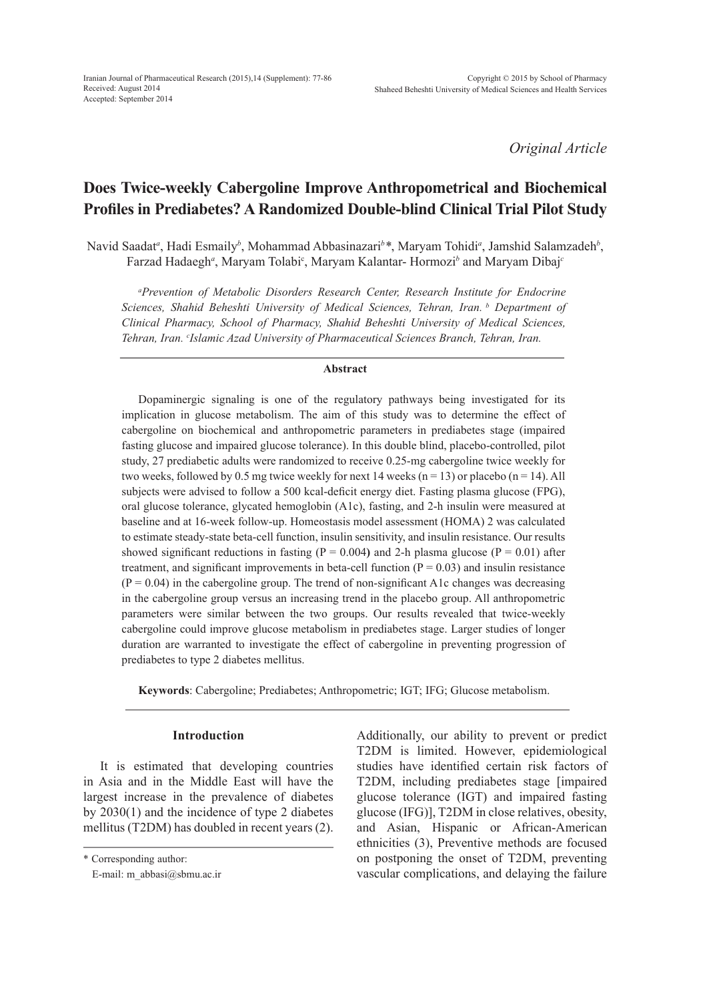*Original Article*

# **Does Twice-weekly Cabergoline Improve Anthropometrical and Biochemical Profiles in Prediabetes? A Randomized Double-blind Clinical Trial Pilot Study**

Navid Saadat*<sup>a</sup>* , Hadi Esmaily*<sup>b</sup>* , Mohammad Abbasinazari*<sup>b</sup> \**, Maryam Tohidi*<sup>a</sup>* , Jamshid Salamzadeh*<sup>b</sup>* , Farzad Hadaegh*<sup>a</sup>* , Maryam Tolabic , Maryam Kalantar- Hormozi*<sup>b</sup>* and Maryam Dibaj*<sup>c</sup>*

*a Prevention of Metabolic Disorders Research Center, Research Institute for Endocrine Sciences, Shahid Beheshti University of Medical Sciences, Tehran, Iran. b Department of Clinical Pharmacy, School of Pharmacy, Shahid Beheshti University of Medical Sciences, Tehran, Iran. c Islamic Azad University of Pharmaceutical Sciences Branch, Tehran, Iran.*

### **Abstract**

Dopaminergic signaling is one of the regulatory pathways being investigated for its implication in glucose metabolism. The aim of this study was to determine the effect of cabergoline on biochemical and anthropometric parameters in prediabetes stage (impaired fasting glucose and impaired glucose tolerance). In this double blind, placebo-controlled, pilot study, 27 prediabetic adults were randomized to receive 0.25-mg cabergoline twice weekly for two weeks, followed by 0.5 mg twice weekly for next 14 weeks ( $n = 13$ ) or placebo ( $n = 14$ ). All subjects were advised to follow a 500 kcal-deficit energy diet. Fasting plasma glucose (FPG), oral glucose tolerance, glycated hemoglobin (A1c), fasting, and 2-h insulin were measured at baseline and at 16-week follow-up. Homeostasis model assessment (HOMA) 2 was calculated to estimate steady-state beta-cell function, insulin sensitivity, and insulin resistance. Our results showed significant reductions in fasting  $(P = 0.004)$  and 2-h plasma glucose  $(P = 0.01)$  after treatment, and significant improvements in beta-cell function  $(P = 0.03)$  and insulin resistance  $(P = 0.04)$  in the cabergoline group. The trend of non-significant A1c changes was decreasing in the cabergoline group versus an increasing trend in the placebo group. All anthropometric parameters were similar between the two groups. Our results revealed that twice-weekly cabergoline could improve glucose metabolism in prediabetes stage. Larger studies of longer duration are warranted to investigate the effect of cabergoline in preventing progression of prediabetes to type 2 diabetes mellitus.

**Keywords**: Cabergoline; Prediabetes; Anthropometric; IGT; IFG; Glucose metabolism.

## **Introduction**

It is estimated that developing countries in Asia and in the Middle East will have the largest increase in the prevalence of diabetes by 2030(1) and the incidence of type 2 diabetes mellitus (T2DM) has doubled in recent years (2). Additionally, our ability to prevent or predict T2DM is limited. However, epidemiological studies have identified certain risk factors of T2DM, including prediabetes stage [impaired glucose tolerance (IGT) and impaired fasting glucose (IFG)], T2DM in close relatives, obesity, and Asian, Hispanic or African-American ethnicities (3), Preventive methods are focused on postponing the onset of T2DM, preventing vascular complications, and delaying the failure

<sup>\*</sup> Corresponding author:

E-mail: m\_abbasi@sbmu.ac.ir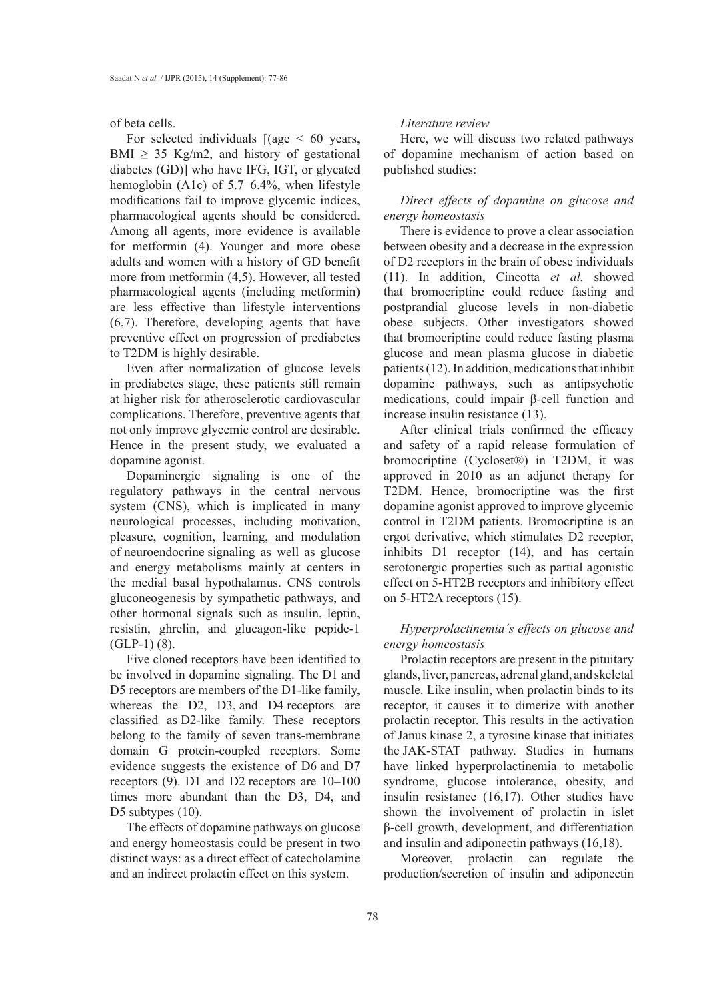of beta cells.

For selected individuals  $[(age < 60 years,$ BMI  $\geq$  35 Kg/m2, and history of gestational diabetes (GD)] who have IFG, IGT, or glycated hemoglobin (A1c) of 5.7–6.4%, when lifestyle modifications fail to improve glycemic indices, pharmacological agents should be considered. Among all agents, more evidence is available for metformin (4). Younger and more obese adults and women with a history of GD benefit more from metformin (4,5). However, all tested pharmacological agents (including metformin) are less effective than lifestyle interventions (6,7). Therefore, developing agents that have preventive effect on progression of prediabetes to T2DM is highly desirable.

Even after normalization of glucose levels in prediabetes stage, these patients still remain at higher risk for atherosclerotic cardiovascular complications. Therefore, preventive agents that not only improve glycemic control are desirable. Hence in the present study, we evaluated a dopamine agonist.

Dopaminergic signaling is one of the regulatory pathways in the central nervous system (CNS), which is implicated in many neurological processes, including motivation, pleasure, cognition, learning, and modulation of neuroendocrine signaling as well as glucose and energy metabolisms mainly at centers in the medial basal hypothalamus. CNS controls gluconeogenesis by sympathetic pathways, and other hormonal signals such as insulin, leptin, resistin, ghrelin, and glucagon-like pepide-1  $(GLP-1)$   $(8)$ .

Five cloned receptors have been identified to be involved in dopamine signaling. The D1 and D5 receptors are members of the D1-like family, whereas the D2, D3, and D4 receptors are classified as D2-like family. These receptors belong to the family of seven trans-membrane domain G protein-coupled receptors. Some evidence suggests the existence of D6 and D7 receptors (9). D1 and D2 receptors are 10–100 times more abundant than the D3, D4, and D5 subtypes  $(10)$ .

The effects of dopamine pathways on glucose and energy homeostasis could be present in two distinct ways: as a direct effect of catecholamine and an indirect prolactin effect on this system.

#### *Literature review*

Here, we will discuss two related pathways of dopamine mechanism of action based on published studies:

## *Direct effects of dopamine on glucose and energy homeostasis*

There is evidence to prove a clear association between obesity and a decrease in the expression of D2 receptors in the brain of obese individuals (11). In addition, Cincotta *et al.* showed that bromocriptine could reduce fasting and postprandial glucose levels in non-diabetic obese subjects. Other investigators showed that bromocriptine could reduce fasting plasma glucose and mean plasma glucose in diabetic patients (12). In addition, medications that inhibit dopamine pathways, such as antipsychotic medications, could impair β-cell function and increase insulin resistance (13).

After clinical trials confirmed the efficacy and safety of a rapid release formulation of bromocriptine (Cycloset®) in T2DM, it was approved in 2010 as an adjunct therapy for T2DM. Hence, bromocriptine was the first dopamine agonist approved to improve glycemic control in T2DM patients. Bromocriptine is an ergot derivative, which stimulates D2 receptor, inhibits D1 receptor (14), and has certain serotonergic properties such as partial agonistic effect on 5-HT2B receptors and inhibitory effect on 5-HT2A receptors (15).

# *Hyperprolactinemia´s effects on glucose and energy homeostasis*

Prolactin receptors are present in the pituitary glands, liver, pancreas, adrenal gland, and skeletal muscle. Like insulin, when prolactin binds to its receptor, it causes it to dimerize with another prolactin receptor. This results in the activation of Janus kinase 2, a tyrosine kinase that initiates the JAK-STAT pathway. Studies in humans have linked hyperprolactinemia to metabolic syndrome, glucose intolerance, obesity, and insulin resistance (16,17). Other studies have shown the involvement of prolactin in islet β-cell growth, development, and differentiation and insulin and adiponectin pathways (16,18).

Moreover, prolactin can regulate the production/secretion of insulin and adiponectin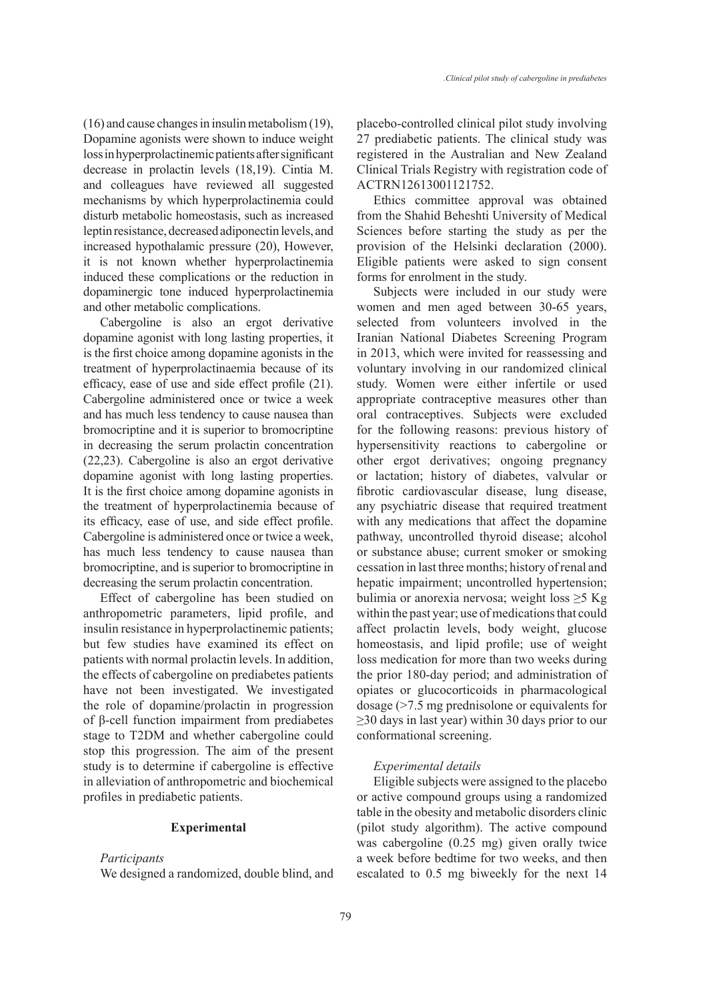(16) and cause changes in insulin metabolism (19), Dopamine agonists were shown to induce weight loss in hyperprolactinemic patients after significant decrease in prolactin levels (18,19). Cintia M. and colleagues have reviewed all suggested mechanisms by which hyperprolactinemia could disturb metabolic homeostasis, such as increased leptin resistance, decreased adiponectin levels, and increased hypothalamic pressure (20), However, it is not known whether hyperprolactinemia induced these complications or the reduction in dopaminergic tone induced hyperprolactinemia and other metabolic complications.

Cabergoline is also an ergot derivative dopamine agonist with long lasting properties, it is the first choice among dopamine agonists in the treatment of hyperprolactinaemia because of its efficacy, ease of use and side effect profile (21). Cabergoline administered once or twice a week and has much less tendency to cause nausea than bromocriptine and it is superior to bromocriptine in decreasing the serum prolactin concentration (22,23). Cabergoline is also an ergot derivative dopamine agonist with long lasting properties. It is the first choice among dopamine agonists in the treatment of hyperprolactinemia because of its efficacy, ease of use, and side effect profile. Cabergoline is administered once or twice a week, has much less tendency to cause nausea than bromocriptine, and is superior to bromocriptine in decreasing the serum prolactin concentration.

Effect of cabergoline has been studied on anthropometric parameters, lipid profile, and insulin resistance in hyperprolactinemic patients; but few studies have examined its effect on patients with normal prolactin levels. In addition, the effects of cabergoline on prediabetes patients have not been investigated. We investigated the role of dopamine/prolactin in progression of β-cell function impairment from prediabetes stage to T2DM and whether cabergoline could stop this progression. The aim of the present study is to determine if cabergoline is effective in alleviation of anthropometric and biochemical profiles in prediabetic patients.

### **Experimental**

## *Participants*

We designed a randomized, double blind, and

placebo-controlled clinical pilot study involving 27 prediabetic patients. The clinical study was registered in the Australian and New Zealand Clinical Trials Registry with registration code of ACTRN12613001121752.

Ethics committee approval was obtained from the Shahid Beheshti University of Medical Sciences before starting the study as per the provision of the Helsinki declaration (2000). Eligible patients were asked to sign consent forms for enrolment in the study.

Subjects were included in our study were women and men aged between 30-65 years, selected from volunteers involved in the Iranian National Diabetes Screening Program in 2013, which were invited for reassessing and voluntary involving in our randomized clinical study. Women were either infertile or used appropriate contraceptive measures other than oral contraceptives. Subjects were excluded for the following reasons: previous history of hypersensitivity reactions to cabergoline or other ergot derivatives; ongoing pregnancy or lactation; history of diabetes, valvular or fibrotic cardiovascular disease, lung disease, any psychiatric disease that required treatment with any medications that affect the dopamine pathway, uncontrolled thyroid disease; alcohol or substance abuse; current smoker or smoking cessation in last three months; history of renal and hepatic impairment; uncontrolled hypertension; bulimia or anorexia nervosa; weight loss ≥5 Kg within the past year; use of medications that could affect prolactin levels, body weight, glucose homeostasis, and lipid profile; use of weight loss medication for more than two weeks during the prior 180-day period; and administration of opiates or glucocorticoids in pharmacological dosage (>7.5 mg prednisolone or equivalents for  $\geq$ 30 days in last year) within 30 days prior to our conformational screening.

#### *Experimental details*

Eligible subjects were assigned to the placebo or active compound groups using a randomized table in the obesity and metabolic disorders clinic (pilot study algorithm). The active compound was cabergoline (0.25 mg) given orally twice a week before bedtime for two weeks, and then escalated to 0.5 mg biweekly for the next 14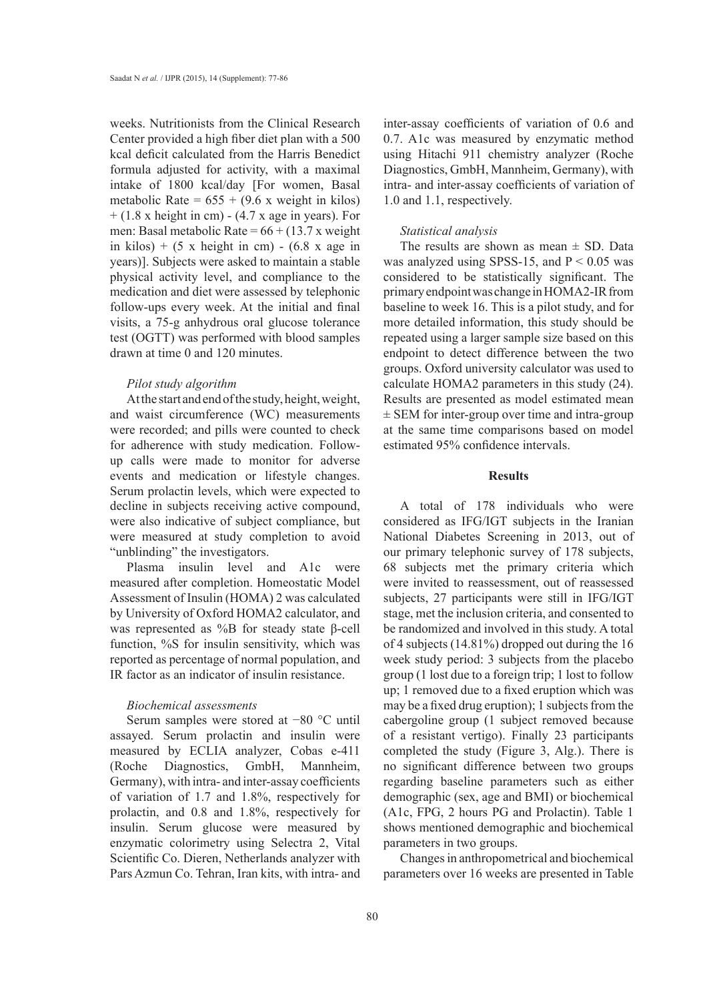weeks. Nutritionists from the Clinical Research Center provided a high fiber diet plan with a 500 kcal deficit calculated from the Harris Benedict formula adjusted for activity, with a maximal intake of 1800 kcal/day [For women, Basal metabolic Rate =  $655 + (9.6 \text{ x weight in kilos})$  $+ (1.8 \times \text{height in cm}) - (4.7 \times \text{age in years}).$  For men: Basal metabolic Rate =  $66 + (13.7 \text{ x weight})$ in kilos) +  $(5 \times \text{height in cm}) - (6.8 \times \text{age in})$ years)]. Subjects were asked to maintain a stable physical activity level, and compliance to the medication and diet were assessed by telephonic follow-ups every week. At the initial and final visits, a 75-g anhydrous oral glucose tolerance test (OGTT) was performed with blood samples drawn at time 0 and 120 minutes.

## *Pilot study algorithm*

At the start and end of the study, height, weight, and waist circumference (WC) measurements were recorded; and pills were counted to check for adherence with study medication. Followup calls were made to monitor for adverse events and medication or lifestyle changes. Serum prolactin levels, which were expected to decline in subjects receiving active compound, were also indicative of subject compliance, but were measured at study completion to avoid "unblinding" the investigators.

Plasma insulin level and A1c were measured after completion. Homeostatic Model Assessment of Insulin (HOMA) 2 was calculated by University of Oxford HOMA2 calculator, and was represented as %B for steady state β-cell function, %S for insulin sensitivity, which was reported as percentage of normal population, and IR factor as an indicator of insulin resistance.

## *Biochemical assessments*

Serum samples were stored at −80 °C until assayed. Serum prolactin and insulin were measured by ECLIA analyzer, Cobas e-411 (Roche Diagnostics, GmbH, Mannheim, Germany), with intra- and inter-assay coefficients of variation of 1.7 and 1.8%, respectively for prolactin, and 0.8 and 1.8%, respectively for insulin. Serum glucose were measured by enzymatic colorimetry using Selectra 2, Vital Scientific Co. Dieren, Netherlands analyzer with Pars Azmun Co. Tehran, Iran kits, with intra- and inter-assay coefficients of variation of 0.6 and 0.7. A1c was measured by enzymatic method using Hitachi 911 chemistry analyzer (Roche Diagnostics, GmbH, Mannheim, Germany), with intra- and inter-assay coefficients of variation of 1.0 and 1.1, respectively.

## *Statistical analysis*

The results are shown as mean  $\pm$  SD. Data was analyzed using SPSS-15, and  $P < 0.05$  was considered to be statistically significant. The primary endpoint was change in HOMA2-IR from baseline to week 16. This is a pilot study, and for more detailed information, this study should be repeated using a larger sample size based on this endpoint to detect difference between the two groups. Oxford university calculator was used to calculate HOMA2 parameters in this study (24). Results are presented as model estimated mean  $\pm$  SEM for inter-group over time and intra-group at the same time comparisons based on model estimated 95% confidence intervals.

# **Results**

A total of 178 individuals who were considered as IFG/IGT subjects in the Iranian National Diabetes Screening in 2013, out of our primary telephonic survey of 178 subjects, 68 subjects met the primary criteria which were invited to reassessment, out of reassessed subjects, 27 participants were still in IFG/IGT stage, met the inclusion criteria, and consented to be randomized and involved in this study. A total of 4 subjects (14.81%) dropped out during the 16 week study period: 3 subjects from the placebo group (1 lost due to a foreign trip; 1 lost to follow up; 1 removed due to a fixed eruption which was may be a fixed drug eruption); 1 subjects from the cabergoline group (1 subject removed because of a resistant vertigo). Finally 23 participants completed the study (Figure 3, Alg.). There is no significant difference between two groups regarding baseline parameters such as either demographic (sex, age and BMI) or biochemical (A1c, FPG, 2 hours PG and Prolactin). Table 1 shows mentioned demographic and biochemical parameters in two groups.

Changes in anthropometrical and biochemical parameters over 16 weeks are presented in Table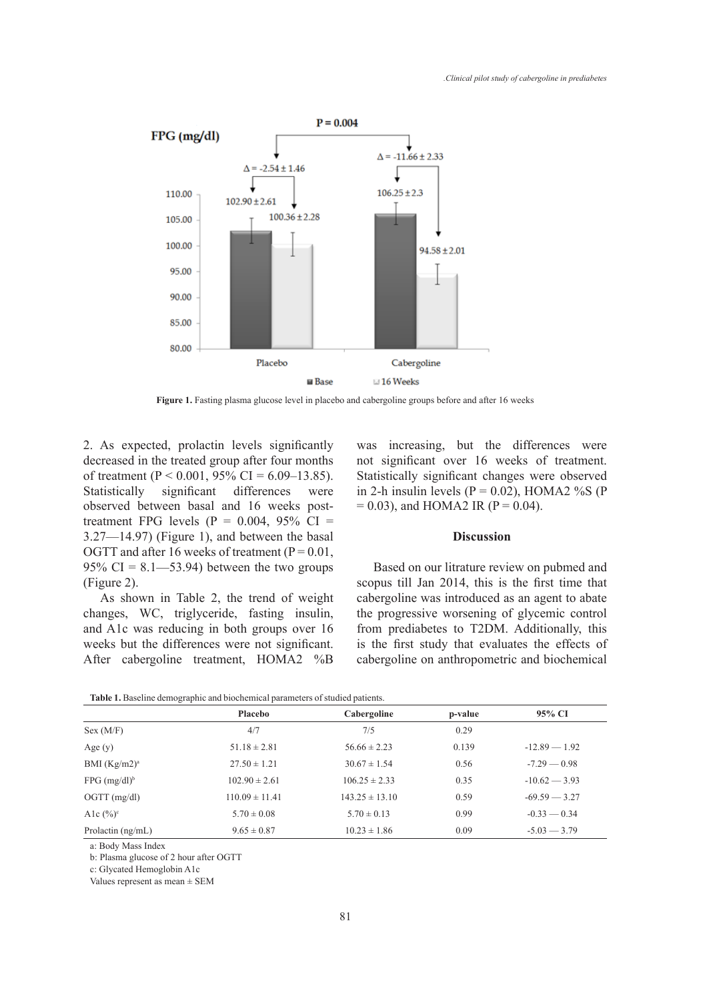

Figure 1. Fasting plasma glucose level in placebo and cabergoline groups before and after 16 weeks

2. As expected, prolactin levels significantly decreased in the treated group after four months of treatment ( $P < 0.001$ , 95% CI = 6.09–13.85). Statistically significant differences were observed between basal and 16 weeks posttreatment FPG levels ( $P = 0.004$ , 95% CI = 3.27—14.97) (Figure 1), and between the basal OGTT and after 16 weeks of treatment ( $P = 0.01$ , 95% CI =  $8.1 - 53.94$ ) between the two groups (Figure 2).

As shown in Table 2, the trend of weight changes, WC, triglyceride, fasting insulin, and A1c was reducing in both groups over 16 weeks but the differences were not significant. After cabergoline treatment, HOMA2 %B was increasing, but the differences were not significant over 16 weeks of treatment. Statistically significant changes were observed in 2-h insulin levels ( $P = 0.02$ ), HOMA2 %S (P  $= 0.03$ ), and HOMA2 IR (P  $= 0.04$ ).

#### **Discussion**

Based on our litrature review on pubmed and scopus till Jan 2014, this is the first time that cabergoline was introduced as an agent to abate the progressive worsening of glycemic control from prediabetes to T2DM. Additionally, this is the first study that evaluates the effects of cabergoline on anthropometric and biochemical

**Table 1.** Baseline demographic and biochemical parameters of studied patients.

|                            | Placebo            | Cabergoline        | p-value | 95% CI          |
|----------------------------|--------------------|--------------------|---------|-----------------|
| Sex (M/F)                  | 4/7                | 7/5                | 0.29    |                 |
| Age $(y)$                  | $51.18 \pm 2.81$   | $56.66 \pm 2.23$   | 0.139   | $-12.89 - 1.92$ |
| BMI $(Kg/m2)^a$            | $27.50 \pm 1.21$   | $30.67 \pm 1.54$   | 0.56    | $-7.29 - 0.98$  |
| $FPG$ (mg/dl) <sup>b</sup> | $102.90 \pm 2.61$  | $106.25 \pm 2.33$  | 0.35    | $-10.62 - 3.93$ |
| $OGTT$ (mg/dl)             | $110.09 \pm 11.41$ | $143.25 \pm 13.10$ | 0.59    | $-69.59 - 3.27$ |
| Alc $(\%)^c$               | $5.70 \pm 0.08$    | $5.70 \pm 0.13$    | 0.99    | $-0.33 - 0.34$  |
| Prolactin $(ng/mL)$        | $9.65 \pm 0.87$    | $10.23 \pm 1.86$   | 0.09    | $-5.03 - 3.79$  |

a: Body Mass Index

b: Plasma glucose of 2 hour after OGTT

c: Glycated Hemoglobin A1c

Values represent as mean ± SEM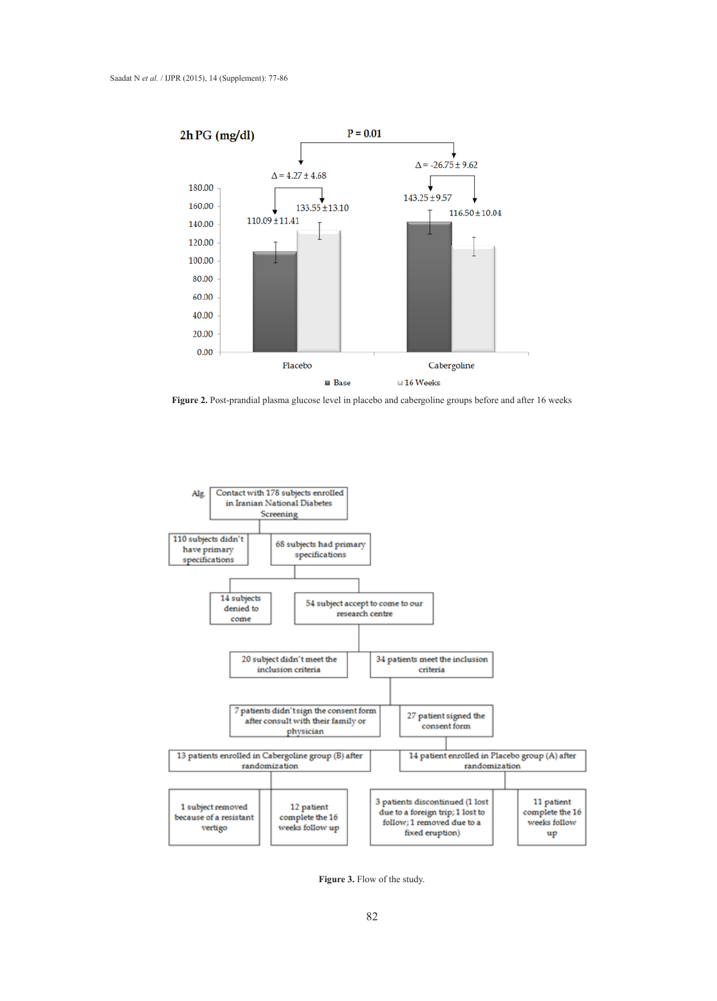

**Figure 2.** Post-prandial plasma glucose level in placebo and cabergoline groups before and after 16 weeks



**Figure 3.** Flow of the study.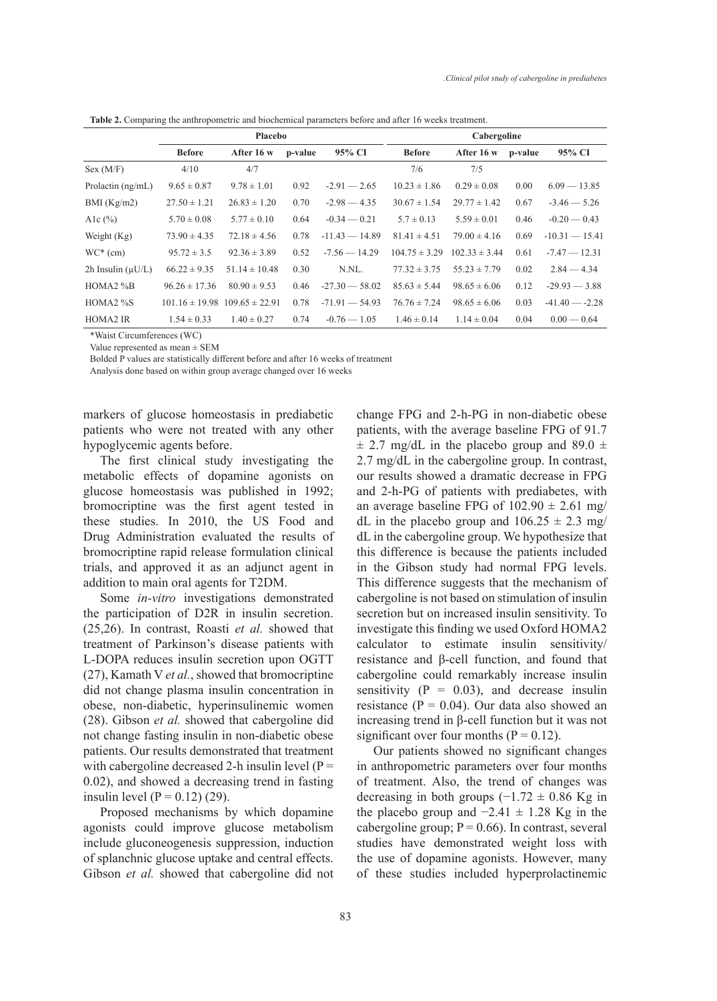|                        | Placebo           |                                       |         |                  | Cabergoline       |                   |         |                  |
|------------------------|-------------------|---------------------------------------|---------|------------------|-------------------|-------------------|---------|------------------|
|                        | <b>Before</b>     | After 16 w                            | p-value | 95% CI           | <b>Before</b>     | After 16 w        | p-value | 95% CI           |
| Sex (M/F)              | 4/10              | 4/7                                   |         |                  | 7/6               | 7/5               |         |                  |
| Prolactin $(ng/mL)$    | $9.65 \pm 0.87$   | $9.78 \pm 1.01$                       | 0.92    | $-2.91 - 2.65$   | $10.23 \pm 1.86$  | $0.29 \pm 0.08$   | 0.00    | $6.09 - 13.85$   |
| BMI (Kg/m2)            | $27.50 \pm 1.21$  | $26.83 \pm 1.20$                      | 0.70    | $-2.98 - 4.35$   | $30.67 \pm 1.54$  | $29.77 \pm 1.42$  | 0.67    | $-3.46 - 5.26$   |
| Alc $(\% )$            | $5.70 \pm 0.08$   | $5.77 \pm 0.10$                       | 0.64    | $-0.34 - 0.21$   | $5.7 \pm 0.13$    | $5.59 \pm 0.01$   | 0.46    | $-0.20 - 0.43$   |
| Weight $(Kg)$          | $73.90 \pm 4.35$  | $72.18 \pm 4.56$                      | 0.78    | $-11.43 - 14.89$ | $81.41 \pm 4.51$  | $79.00 \pm 4.16$  | 0.69    | $-10.31 - 15.41$ |
| $WC*(cm)$              | $95.72 \pm 3.5$   | $92.36 \pm 3.89$                      | 0.52    | $-7.56 - 14.29$  | $104.75 \pm 3.29$ | $102.33 \pm 3.44$ | 0.61    | $-7.47 - 12.31$  |
| 2h Insulin $(\mu U/L)$ | $66.22 \pm 9.35$  | $51.14 \pm 10.48$                     | 0.30    | N.NL.            | $77.32 \pm 3.75$  | $55.23 \pm 7.79$  | 0.02    | $2.84 - 4.34$    |
| $HOMA2\%B$             | $96.26 \pm 17.36$ | $80.90 \pm 9.53$                      | 0.46    | $-27.30 - 58.02$ | $85.63 \pm 5.44$  | $98.65 \pm 6.06$  | 0.12    | $-29.93 - 3.88$  |
| $HOMA2\%S$             |                   | $101.16 \pm 19.98$ 109.65 $\pm$ 22.91 | 0.78    | $-71.91 - 54.93$ | $76.76 \pm 7.24$  | $98.65 \pm 6.06$  | 0.03    | $-41.40 - -2.28$ |

HOMA2 IR  $1.54 \pm 0.33$   $1.40 \pm 0.27$   $0.74$   $-0.76 - 1.05$   $1.46 \pm 0.14$   $1.14 \pm 0.04$   $0.04$   $0.00 - 0.64$ 

**Table 2.** Comparing the anthropometric and biochemical parameters before and after 16 weeks treatment.

\*Waist Circumferences (WC) Value represented as mean ± SEM

Bolded P values are statistically different before and after 16 weeks of treatment

Analysis done based on within group average changed over 16 weeks

markers of glucose homeostasis in prediabetic patients who were not treated with any other hypoglycemic agents before.

The first clinical study investigating the metabolic effects of dopamine agonists on glucose homeostasis was published in 1992; bromocriptine was the first agent tested in these studies. In 2010, the US Food and Drug Administration evaluated the results of bromocriptine rapid release formulation clinical trials, and approved it as an adjunct agent in addition to main oral agents for T2DM.

Some *in-vitro* investigations demonstrated the participation of D2R in insulin secretion. (25,26). In contrast, Roasti *et al.* showed that treatment of Parkinson's disease patients with L-DOPA reduces insulin secretion upon OGTT (27), Kamath V *et al.*, showed that bromocriptine did not change plasma insulin concentration in obese, non-diabetic, hyperinsulinemic women (28). Gibson *et al.* showed that cabergoline did not change fasting insulin in non-diabetic obese patients. Our results demonstrated that treatment with cabergoline decreased 2-h insulin level ( $P =$ 0.02), and showed a decreasing trend in fasting insulin level  $(P = 0.12)$  (29).

Proposed mechanisms by which dopamine agonists could improve glucose metabolism include gluconeogenesis suppression, induction of splanchnic glucose uptake and central effects. Gibson *et al.* showed that cabergoline did not change FPG and 2-h-PG in non-diabetic obese patients, with the average baseline FPG of 91.7  $\pm$  2.7 mg/dL in the placebo group and 89.0  $\pm$ 2.7 mg/dL in the cabergoline group. In contrast, our results showed a dramatic decrease in FPG and 2-h-PG of patients with prediabetes, with an average baseline FPG of  $102.90 \pm 2.61$  mg/ dL in the placebo group and  $106.25 \pm 2.3$  mg/ dL in the cabergoline group. We hypothesize that this difference is because the patients included in the Gibson study had normal FPG levels. This difference suggests that the mechanism of cabergoline is not based on stimulation of insulin secretion but on increased insulin sensitivity. To investigate this finding we used Oxford HOMA2 calculator to estimate insulin sensitivity/ resistance and β-cell function, and found that cabergoline could remarkably increase insulin sensitivity  $(P = 0.03)$ , and decrease insulin resistance ( $P = 0.04$ ). Our data also showed an increasing trend in β-cell function but it was not significant over four months ( $P = 0.12$ ).

Our patients showed no significant changes in anthropometric parameters over four months of treatment. Also, the trend of changes was decreasing in both groups  $(-1.72 \pm 0.86 \text{ Kg in}$ the placebo group and  $-2.41 \pm 1.28$  Kg in the cabergoline group;  $P = 0.66$ ). In contrast, several studies have demonstrated weight loss with the use of dopamine agonists. However, many of these studies included hyperprolactinemic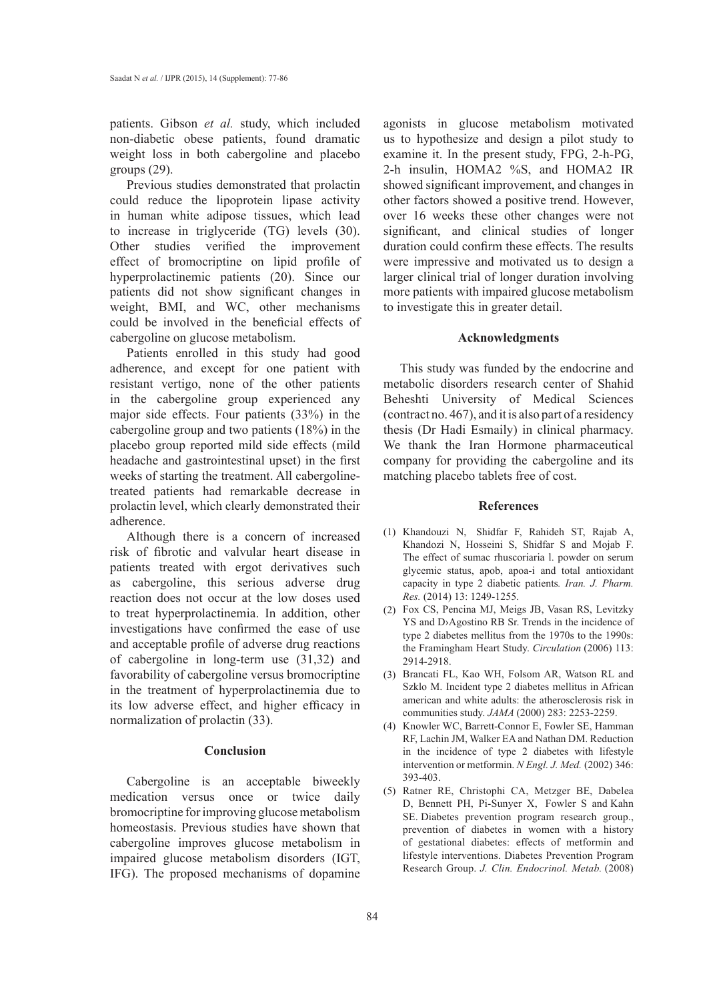patients. Gibson *et al.* study, which included non-diabetic obese patients, found dramatic weight loss in both cabergoline and placebo groups (29).

Previous studies demonstrated that prolactin could reduce the lipoprotein lipase activity in human white adipose tissues, which lead to increase in triglyceride (TG) levels (30). Other studies verified the improvement effect of bromocriptine on lipid profile of hyperprolactinemic patients (20). Since our patients did not show significant changes in weight, BMI, and WC, other mechanisms could be involved in the beneficial effects of cabergoline on glucose metabolism.

Patients enrolled in this study had good adherence, and except for one patient with resistant vertigo, none of the other patients in the cabergoline group experienced any major side effects. Four patients (33%) in the cabergoline group and two patients (18%) in the placebo group reported mild side effects (mild headache and gastrointestinal upset) in the first weeks of starting the treatment. All cabergolinetreated patients had remarkable decrease in prolactin level, which clearly demonstrated their adherence.

Although there is a concern of increased risk of fibrotic and valvular heart disease in patients treated with ergot derivatives such as cabergoline, this serious adverse drug reaction does not occur at the low doses used to treat hyperprolactinemia. In addition, other investigations have confirmed the ease of use and acceptable profile of adverse drug reactions of cabergoline in long-term use (31,32) and favorability of cabergoline versus bromocriptine in the treatment of hyperprolactinemia due to its low adverse effect, and higher efficacy in normalization of prolactin (33).

## **Conclusion**

Cabergoline is an acceptable biweekly medication versus once or twice daily bromocriptine for improving glucose metabolism homeostasis. Previous studies have shown that cabergoline improves glucose metabolism in impaired glucose metabolism disorders (IGT, IFG). The proposed mechanisms of dopamine

agonists in glucose metabolism motivated us to hypothesize and design a pilot study to examine it. In the present study, FPG, 2-h-PG, 2-h insulin, HOMA2 %S, and HOMA2 IR showed significant improvement, and changes in other factors showed a positive trend. However, over 16 weeks these other changes were not significant, and clinical studies of longer duration could confirm these effects. The results were impressive and motivated us to design a larger clinical trial of longer duration involving more patients with impaired glucose metabolism to investigate this in greater detail.

#### **Acknowledgments**

This study was funded by the endocrine and metabolic disorders research center of Shahid Beheshti University of Medical Sciences (contract no. 467), and it is also part of a residency thesis (Dr Hadi Esmaily) in clinical pharmacy. We thank the Iran Hormone pharmaceutical company for providing the cabergoline and its matching placebo tablets free of cost.

#### **References**

- (1) Khandouzi N, Shidfar F, Rahideh ST, Rajab A, Khandozi N, Hosseini S, Shidfar S and Mojab F. The effect of sumac rhuscoriaria l. powder on serum glycemic status, apob, apoa-i and total antioxidant capacity in type 2 diabetic patients*. Iran. J. Pharm. Res.* (2014) 13: 1249-1255.
- Fox CS, Pencina MJ, Meigs JB, Vasan RS, Levitzky (2) YS and D›Agostino RB Sr. Trends in the incidence of type 2 diabetes mellitus from the 1970s to the 1990s: the Framingham Heart Study. *Circulation* (2006) 113: 2914-2918.
- Brancati FL, Kao WH, Folsom AR, Watson RL and (3) Szklo M. Incident type 2 diabetes mellitus in African american and white adults: the atherosclerosis risk in communities study. *JAMA* (2000) 283: 2253-2259.
- (4) Knowler WC, Barrett-Connor E, Fowler SE, Hamman RF, Lachin JM, Walker EA and Nathan DM. Reduction in the incidence of type 2 diabetes with lifestyle intervention or metformin. *N Engl. J. Med.* (2002) 346: 393-403.
- (5) Ratner RE, Christophi CA, Metzger BE, Dabelea D, Bennett PH, Pi-Sunyer X, Fowler S and Kahn SE. Diabetes prevention program research group., prevention of diabetes in women with a history of gestational diabetes: effects of metformin and lifestyle interventions. Diabetes Prevention Program Research Group. *J. Clin. Endocrinol. Metab.* (2008)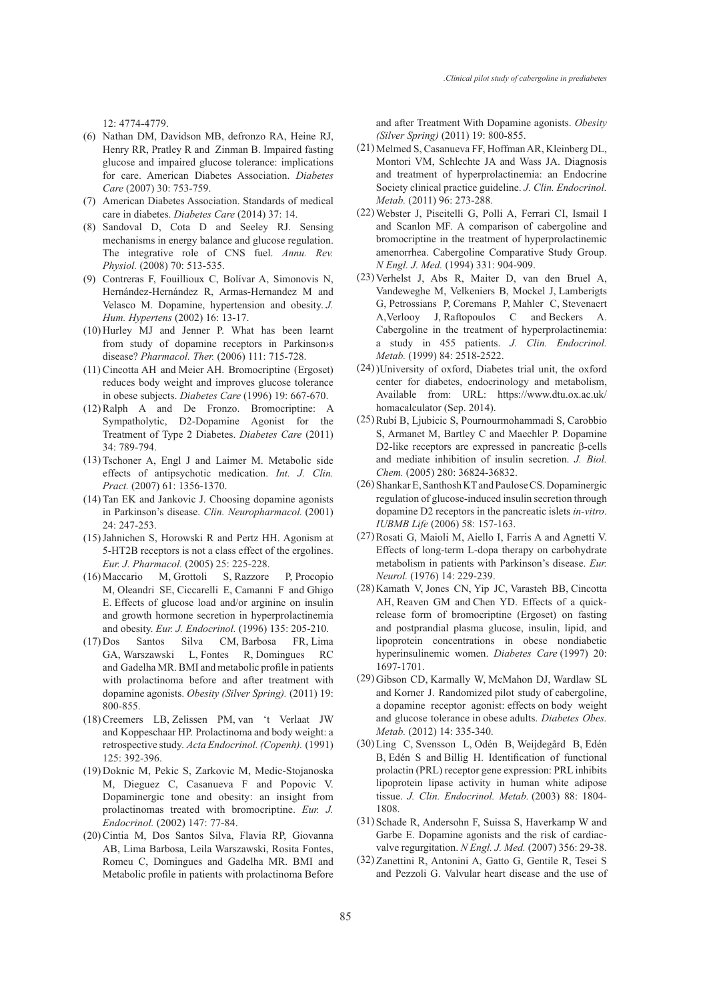12: 4774-4779.

- (6) Nathan DM, Davidson MB, defronzo RA, Heine RJ, Henry RR, Pratley R and Zinman B. Impaired fasting glucose and impaired glucose tolerance: implications for care. American Diabetes Association. *Diabetes Care* (2007) 30: 753-759.
- American Diabetes Association. Standards of medical (7) care in diabetes. *Diabetes Care* (2014) 37: 14.
- Sandoval D, Cota D and Seeley RJ. Sensing (8) mechanisms in energy balance and glucose regulation. The integrative role of CNS fuel. *Annu. Rev. Physiol.* (2008) 70: 513-535.
- Contreras F, Fouillioux C, Bolívar A, Simonovis N, (9) Hernández-Hernández R, Armas-Hernandez M and Velasco M. Dopamine, hypertension and obesity. *J. Hum. Hypertens* (2002) 16: 13-17.
- $(10)$  Hurley MJ and Jenner P. What has been learnt from study of dopamine receptors in Parkinson›s disease? *Pharmacol. Ther.* (2006) 111: 715-728.
- (11) Cincotta AH and Meier AH. Bromocriptine (Ergoset) reduces body weight and improves glucose tolerance in obese subjects. *Diabetes Care* (1996) 19: 667-670.
- $(12)$  Ralph A and De Fronzo. Bromocriptine: A Sympatholytic, D2-Dopamine Agonist for the Treatment of Type 2 Diabetes. *Diabetes Care* (2011) 34: 789-794.
- $(13)$  Tschoner A, Engl J and Laimer M. Metabolic side effects of antipsychotic medication. *Int. J. Clin. Pract.* (2007) 61: 1356-1370.
- $(14)$  Tan EK and Jankovic J. Choosing dopamine agonists in Parkinson's disease. *Clin. Neuropharmacol.* (2001) 24: 247-253.
- (15) Jahnichen S, Horowski R and Pertz HH. Agonism at 5-HT2B receptors is not a class effect of the ergolines. *Eur. J. Pharmacol.* (2005) 25: 225-228.
- M, Grottoli S, Razzore P, Procopio M, Oleandri SE, Ciccarelli E, Camanni F and Ghigo E. Effects of glucose load and/or arginine on insulin and growth hormone secretion in hyperprolactinemia and obesity. *Eur. J. Endocrinol.* (1996) 135: 205-210. (16) Maccario
- Santos Silva CM, Barbosa FR, Lima GA, Warszawski L, Fontes R, Domingues RC and Gadelha MR. BMI and metabolic profile in patients with prolactinoma before and after treatment with dopamine agonists. *Obesity (Silver Spring).* (2011) 19: 800-855.  $(17)$  Dos
- (18) Creemers LB, Zelissen PM, van 't Verlaat JW and Koppeschaar HP. Prolactinoma and body weight: a retrospective study. *Acta Endocrinol. (Copenh).* (1991) 125: 392-396.
- (19) Doknic M, Pekic S, Zarkovic M, Medic-Stojanoska M, Dieguez C, Casanueva F and Popovic V. Dopaminergic tone and obesity: an insight from prolactinomas treated with bromocriptine. *Eur. J. Endocrinol.* (2002) 147: 77-84.
- (20) Cintia M, Dos Santos Silva, Flavia RP, Giovanna AB, Lima Barbosa, Leila Warszawski, Rosita Fontes, Romeu C, Domingues and Gadelha MR. BMI and Metabolic profile in patients with prolactinoma Before

and after Treatment With Dopamine agonists. *Obesity (Silver Spring)* (2011) 19: 800-855.

- (21) Melmed S, Casanueva FF, Hoffman AR, Kleinberg DL, Montori VM, Schlechte JA and Wass JA. Diagnosis and treatment of hyperprolactinemia: an Endocrine Society clinical practice guideline. *J. Clin. Endocrinol. Metab.* (2011) 96: 273-288.
- Webster J, Piscitelli G, Polli A, Ferrari CI, Ismail I (22) and Scanlon MF. A comparison of cabergoline and bromocriptine in the treatment of hyperprolactinemic amenorrhea. Cabergoline Comparative Study Group. *N Engl. J. Med.* (1994) 331: 904-909.
- (23) Verhelst J, Abs R, Maiter D, van den Bruel A, Vandeweghe M, Velkeniers B, Mockel J, Lamberigts G, Petrossians P, Coremans P, Mahler C, Stevenaert A,Verlooy J, Raftopoulos C and Beckers A. Cabergoline in the treatment of hyperprolactinemia: a study in 455 patients. *J. Clin. Endocrinol. Metab.* (1999) 84: 2518-2522.
- )University of oxford, Diabetes trial unit, the oxford (24) center for diabetes, endocrinology and metabolism, Available from: URL: https://www.dtu.ox.ac.uk/ homacalculator (Sep. 2014).
- (25) Rubí B, Ljubicic S, Pournourmohammadi S, Carobbio S, Armanet M, Bartley C and Maechler P. Dopamine D2-like receptors are expressed in pancreatic β-cells and mediate inhibition of insulin secretion. *J. Biol. Chem.* (2005) 280: 36824-36832.
- (26) Shankar E, Santhosh KT and Paulose CS. Dopaminergic regulation of glucose-induced insulin secretion through dopamine D2 receptors in the pancreatic islets *in-vitro*. *IUBMB Life* (2006) 58: 157-163.
- (27) Rosati G, Maioli M, Aiello I, Farris A and Agnetti V. Effects of long-term L-dopa therapy on carbohydrate metabolism in patients with Parkinson's disease. *Eur. Neurol.* (1976) 14: 229-239.
- (28) Kamath V, Jones CN, Yip JC, Varasteh BB, Cincotta AH, Reaven GM and Chen YD. Effects of a quickrelease form of bromocriptine (Ergoset) on fasting and postprandial plasma glucose, insulin, lipid, and lipoprotein concentrations in obese nondiabetic hyperinsulinemic women. *Diabetes Care* (1997) 20: 1697-1701.
- (29) Gibson CD, Karmally W, McMahon DJ, Wardlaw SL and Korner J. Randomized pilot study of cabergoline, a dopamine receptor agonist: effects on body weight and glucose tolerance in obese adults. *Diabetes Obes. Metab.* (2012) 14: 335-340.
- (30) Ling C, Svensson L, Odén B, Weijdegård B, Edén B, Edén S and Billig H. Identification of functional prolactin (PRL) receptor gene expression: PRL inhibits lipoprotein lipase activity in human white adipose tissue. *J. Clin. Endocrinol. Metab.* (2003) 88: 1804- 1808.
- (31) Schade R, Andersohn F, Suissa S, Haverkamp W and Garbe E. Dopamine agonists and the risk of cardiacvalve regurgitation. *N Engl. J. Med.* (2007) 356: 29-38.
- (32) Zanettini R, Antonini A, Gatto G, Gentile R, Tesei S and Pezzoli G. Valvular heart disease and the use of